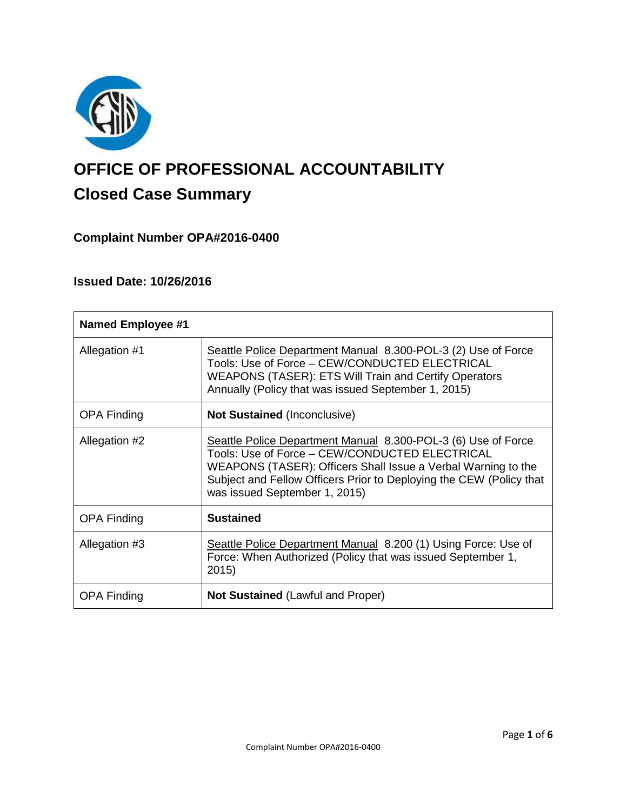

# **OFFICE OF PROFESSIONAL ACCOUNTABILITY Closed Case Summary**

## **Complaint Number OPA#2016-0400**

## **Issued Date: 10/26/2016**

| <b>Named Employee #1</b> |                                                                                                                                                                                                                                                                                          |
|--------------------------|------------------------------------------------------------------------------------------------------------------------------------------------------------------------------------------------------------------------------------------------------------------------------------------|
| Allegation #1            | Seattle Police Department Manual 8.300-POL-3 (2) Use of Force<br>Tools: Use of Force - CEW/CONDUCTED ELECTRICAL<br><b>WEAPONS (TASER): ETS Will Train and Certify Operators</b><br>Annually (Policy that was issued September 1, 2015)                                                   |
| <b>OPA Finding</b>       | <b>Not Sustained (Inconclusive)</b>                                                                                                                                                                                                                                                      |
| Allegation #2            | Seattle Police Department Manual 8.300-POL-3 (6) Use of Force<br>Tools: Use of Force - CEW/CONDUCTED ELECTRICAL<br>WEAPONS (TASER): Officers Shall Issue a Verbal Warning to the<br>Subject and Fellow Officers Prior to Deploying the CEW (Policy that<br>was issued September 1, 2015) |
| <b>OPA Finding</b>       | <b>Sustained</b>                                                                                                                                                                                                                                                                         |
| Allegation #3            | Seattle Police Department Manual 8.200 (1) Using Force: Use of<br>Force: When Authorized (Policy that was issued September 1,<br>2015)                                                                                                                                                   |
| <b>OPA Finding</b>       | <b>Not Sustained (Lawful and Proper)</b>                                                                                                                                                                                                                                                 |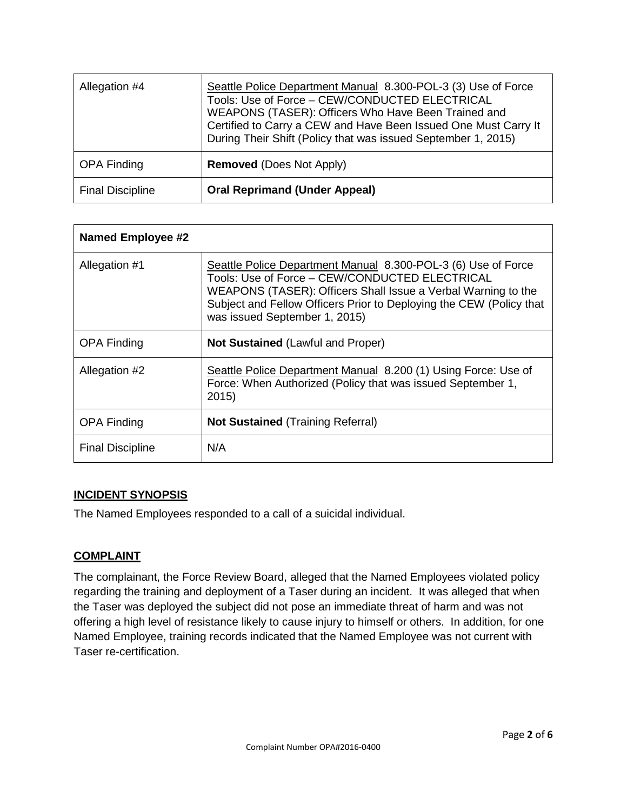| Allegation #4           | Seattle Police Department Manual 8.300-POL-3 (3) Use of Force<br>Tools: Use of Force - CEW/CONDUCTED ELECTRICAL<br>WEAPONS (TASER): Officers Who Have Been Trained and<br>Certified to Carry a CEW and Have Been Issued One Must Carry It<br>During Their Shift (Policy that was issued September 1, 2015) |
|-------------------------|------------------------------------------------------------------------------------------------------------------------------------------------------------------------------------------------------------------------------------------------------------------------------------------------------------|
| <b>OPA Finding</b>      | <b>Removed (Does Not Apply)</b>                                                                                                                                                                                                                                                                            |
| <b>Final Discipline</b> | <b>Oral Reprimand (Under Appeal)</b>                                                                                                                                                                                                                                                                       |

| <b>Named Employee #2</b> |                                                                                                                                                                                                                                                                                          |
|--------------------------|------------------------------------------------------------------------------------------------------------------------------------------------------------------------------------------------------------------------------------------------------------------------------------------|
| Allegation #1            | Seattle Police Department Manual 8.300-POL-3 (6) Use of Force<br>Tools: Use of Force - CEW/CONDUCTED ELECTRICAL<br>WEAPONS (TASER): Officers Shall Issue a Verbal Warning to the<br>Subject and Fellow Officers Prior to Deploying the CEW (Policy that<br>was issued September 1, 2015) |
| <b>OPA Finding</b>       | <b>Not Sustained (Lawful and Proper)</b>                                                                                                                                                                                                                                                 |
| Allegation #2            | Seattle Police Department Manual 8.200 (1) Using Force: Use of<br>Force: When Authorized (Policy that was issued September 1,<br>2015)                                                                                                                                                   |
| <b>OPA Finding</b>       | <b>Not Sustained (Training Referral)</b>                                                                                                                                                                                                                                                 |
| <b>Final Discipline</b>  | N/A                                                                                                                                                                                                                                                                                      |

## **INCIDENT SYNOPSIS**

The Named Employees responded to a call of a suicidal individual.

## **COMPLAINT**

The complainant, the Force Review Board, alleged that the Named Employees violated policy regarding the training and deployment of a Taser during an incident. It was alleged that when the Taser was deployed the subject did not pose an immediate threat of harm and was not offering a high level of resistance likely to cause injury to himself or others. In addition, for one Named Employee, training records indicated that the Named Employee was not current with Taser re-certification.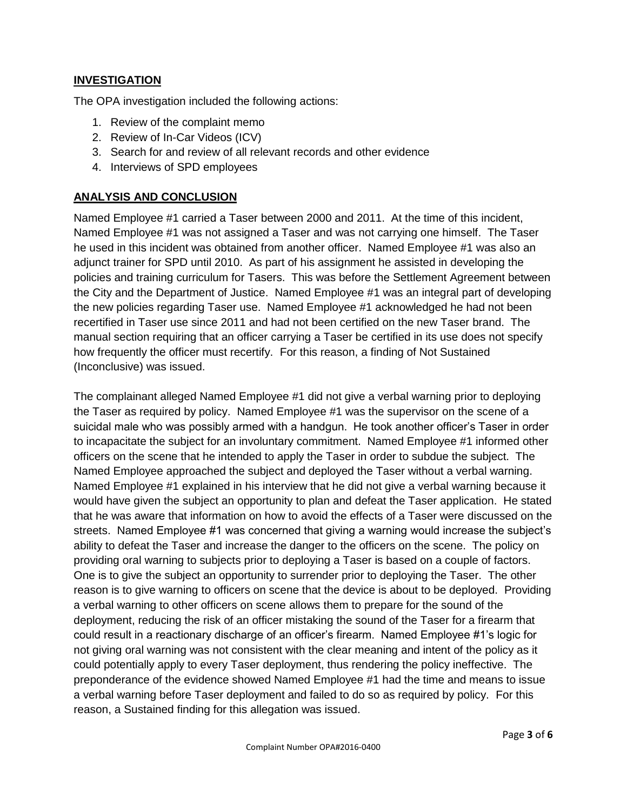## **INVESTIGATION**

The OPA investigation included the following actions:

- 1. Review of the complaint memo
- 2. Review of In-Car Videos (ICV)
- 3. Search for and review of all relevant records and other evidence
- 4. Interviews of SPD employees

## **ANALYSIS AND CONCLUSION**

Named Employee #1 carried a Taser between 2000 and 2011. At the time of this incident, Named Employee #1 was not assigned a Taser and was not carrying one himself. The Taser he used in this incident was obtained from another officer. Named Employee #1 was also an adjunct trainer for SPD until 2010. As part of his assignment he assisted in developing the policies and training curriculum for Tasers. This was before the Settlement Agreement between the City and the Department of Justice. Named Employee #1 was an integral part of developing the new policies regarding Taser use. Named Employee #1 acknowledged he had not been recertified in Taser use since 2011 and had not been certified on the new Taser brand. The manual section requiring that an officer carrying a Taser be certified in its use does not specify how frequently the officer must recertify. For this reason, a finding of Not Sustained (Inconclusive) was issued.

The complainant alleged Named Employee #1 did not give a verbal warning prior to deploying the Taser as required by policy. Named Employee #1 was the supervisor on the scene of a suicidal male who was possibly armed with a handgun. He took another officer's Taser in order to incapacitate the subject for an involuntary commitment. Named Employee #1 informed other officers on the scene that he intended to apply the Taser in order to subdue the subject. The Named Employee approached the subject and deployed the Taser without a verbal warning. Named Employee #1 explained in his interview that he did not give a verbal warning because it would have given the subject an opportunity to plan and defeat the Taser application. He stated that he was aware that information on how to avoid the effects of a Taser were discussed on the streets. Named Employee #1 was concerned that giving a warning would increase the subject's ability to defeat the Taser and increase the danger to the officers on the scene. The policy on providing oral warning to subjects prior to deploying a Taser is based on a couple of factors. One is to give the subject an opportunity to surrender prior to deploying the Taser. The other reason is to give warning to officers on scene that the device is about to be deployed. Providing a verbal warning to other officers on scene allows them to prepare for the sound of the deployment, reducing the risk of an officer mistaking the sound of the Taser for a firearm that could result in a reactionary discharge of an officer's firearm. Named Employee #1's logic for not giving oral warning was not consistent with the clear meaning and intent of the policy as it could potentially apply to every Taser deployment, thus rendering the policy ineffective. The preponderance of the evidence showed Named Employee #1 had the time and means to issue a verbal warning before Taser deployment and failed to do so as required by policy. For this reason, a Sustained finding for this allegation was issued.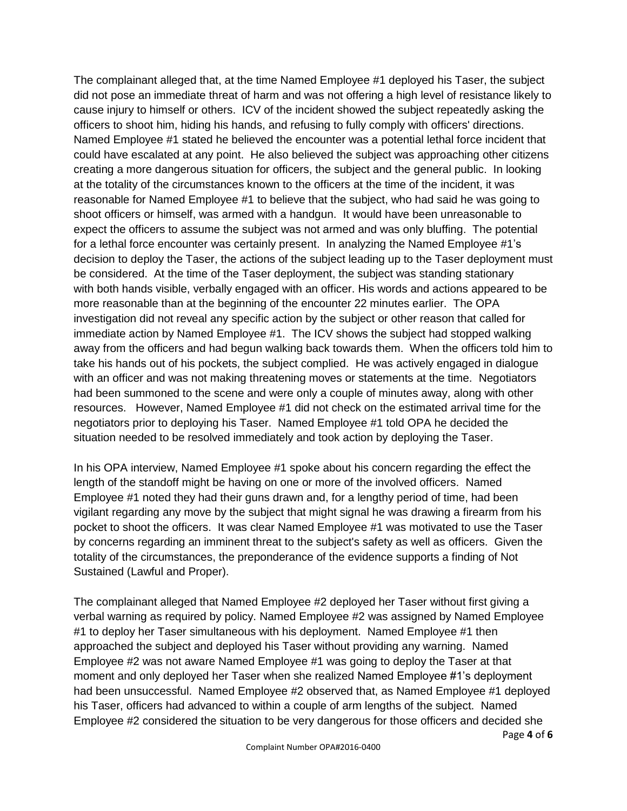The complainant alleged that, at the time Named Employee #1 deployed his Taser, the subject did not pose an immediate threat of harm and was not offering a high level of resistance likely to cause injury to himself or others. ICV of the incident showed the subject repeatedly asking the officers to shoot him, hiding his hands, and refusing to fully comply with officers' directions. Named Employee #1 stated he believed the encounter was a potential lethal force incident that could have escalated at any point. He also believed the subject was approaching other citizens creating a more dangerous situation for officers, the subject and the general public. In looking at the totality of the circumstances known to the officers at the time of the incident, it was reasonable for Named Employee #1 to believe that the subject, who had said he was going to shoot officers or himself, was armed with a handgun. It would have been unreasonable to expect the officers to assume the subject was not armed and was only bluffing. The potential for a lethal force encounter was certainly present. In analyzing the Named Employee #1's decision to deploy the Taser, the actions of the subject leading up to the Taser deployment must be considered. At the time of the Taser deployment, the subject was standing stationary with both hands visible, verbally engaged with an officer. His words and actions appeared to be more reasonable than at the beginning of the encounter 22 minutes earlier. The OPA investigation did not reveal any specific action by the subject or other reason that called for immediate action by Named Employee #1. The ICV shows the subject had stopped walking away from the officers and had begun walking back towards them. When the officers told him to take his hands out of his pockets, the subject complied. He was actively engaged in dialogue with an officer and was not making threatening moves or statements at the time. Negotiators had been summoned to the scene and were only a couple of minutes away, along with other resources. However, Named Employee #1 did not check on the estimated arrival time for the negotiators prior to deploying his Taser. Named Employee #1 told OPA he decided the situation needed to be resolved immediately and took action by deploying the Taser.

In his OPA interview, Named Employee #1 spoke about his concern regarding the effect the length of the standoff might be having on one or more of the involved officers. Named Employee #1 noted they had their guns drawn and, for a lengthy period of time, had been vigilant regarding any move by the subject that might signal he was drawing a firearm from his pocket to shoot the officers. It was clear Named Employee #1 was motivated to use the Taser by concerns regarding an imminent threat to the subject's safety as well as officers. Given the totality of the circumstances, the preponderance of the evidence supports a finding of Not Sustained (Lawful and Proper).

The complainant alleged that Named Employee #2 deployed her Taser without first giving a verbal warning as required by policy. Named Employee #2 was assigned by Named Employee #1 to deploy her Taser simultaneous with his deployment. Named Employee #1 then approached the subject and deployed his Taser without providing any warning. Named Employee #2 was not aware Named Employee #1 was going to deploy the Taser at that moment and only deployed her Taser when she realized Named Employee #1's deployment had been unsuccessful. Named Employee #2 observed that, as Named Employee #1 deployed his Taser, officers had advanced to within a couple of arm lengths of the subject. Named Employee #2 considered the situation to be very dangerous for those officers and decided she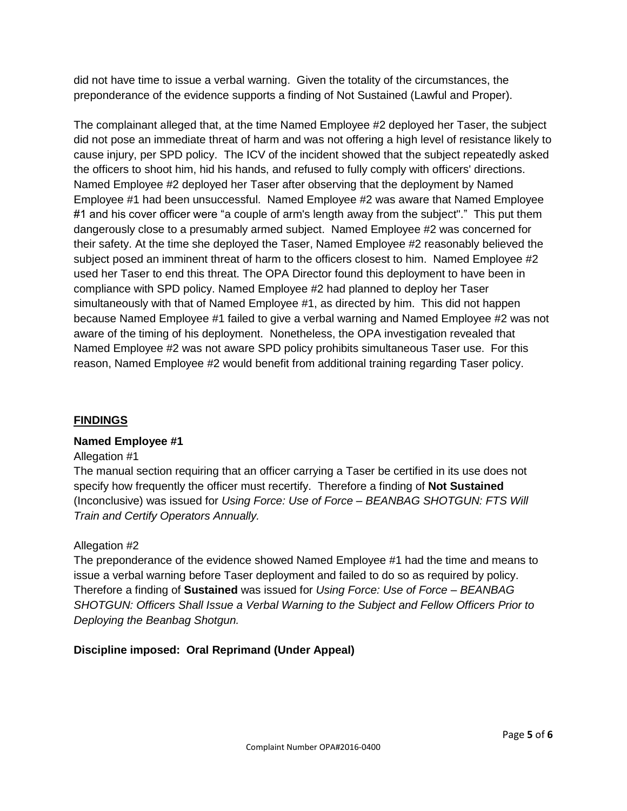did not have time to issue a verbal warning. Given the totality of the circumstances, the preponderance of the evidence supports a finding of Not Sustained (Lawful and Proper).

The complainant alleged that, at the time Named Employee #2 deployed her Taser, the subject did not pose an immediate threat of harm and was not offering a high level of resistance likely to cause injury, per SPD policy. The ICV of the incident showed that the subject repeatedly asked the officers to shoot him, hid his hands, and refused to fully comply with officers' directions. Named Employee #2 deployed her Taser after observing that the deployment by Named Employee #1 had been unsuccessful. Named Employee #2 was aware that Named Employee #1 and his cover officer were "a couple of arm's length away from the subject"." This put them dangerously close to a presumably armed subject. Named Employee #2 was concerned for their safety. At the time she deployed the Taser, Named Employee #2 reasonably believed the subject posed an imminent threat of harm to the officers closest to him. Named Employee #2 used her Taser to end this threat. The OPA Director found this deployment to have been in compliance with SPD policy. Named Employee #2 had planned to deploy her Taser simultaneously with that of Named Employee #1, as directed by him. This did not happen because Named Employee #1 failed to give a verbal warning and Named Employee #2 was not aware of the timing of his deployment. Nonetheless, the OPA investigation revealed that Named Employee #2 was not aware SPD policy prohibits simultaneous Taser use. For this reason, Named Employee #2 would benefit from additional training regarding Taser policy.

## **FINDINGS**

## **Named Employee #1**

#### Allegation #1

The manual section requiring that an officer carrying a Taser be certified in its use does not specify how frequently the officer must recertify. Therefore a finding of **Not Sustained** (Inconclusive) was issued for *Using Force: Use of Force – BEANBAG SHOTGUN: FTS Will Train and Certify Operators Annually.*

## Allegation #2

The preponderance of the evidence showed Named Employee #1 had the time and means to issue a verbal warning before Taser deployment and failed to do so as required by policy. Therefore a finding of **Sustained** was issued for *Using Force: Use of Force – BEANBAG SHOTGUN: Officers Shall Issue a Verbal Warning to the Subject and Fellow Officers Prior to Deploying the Beanbag Shotgun.*

## **Discipline imposed: Oral Reprimand (Under Appeal)**